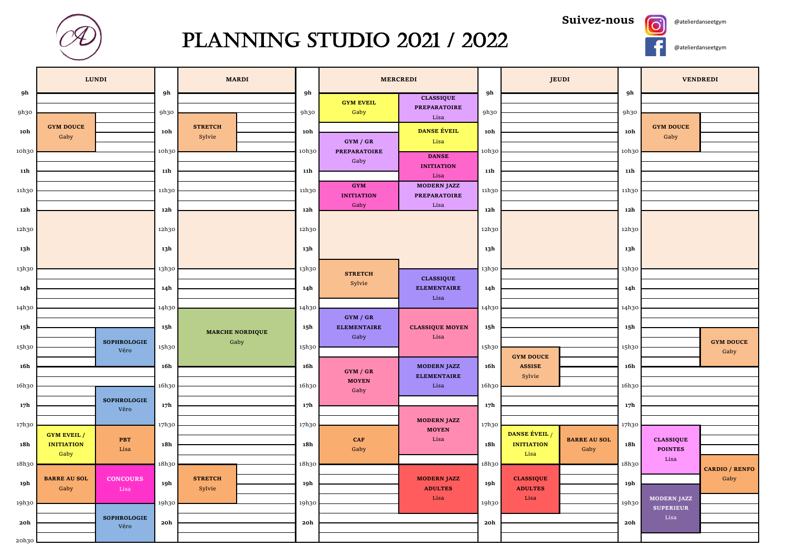

## PLANNING STUDIO 2021 / 2022

**Suivez-nous**





 $\overline{\textbf{O}}$ 

|                | <b>LUNDI</b>                            |                 | <b>MARDI</b>             |                 | <b>MERCREDI</b>                 |                                        |                 | <b>JEUDI</b>           |                             |                 | <b>VENDREDI</b>                    |                               |
|----------------|-----------------------------------------|-----------------|--------------------------|-----------------|---------------------------------|----------------------------------------|-----------------|------------------------|-----------------------------|-----------------|------------------------------------|-------------------------------|
| 9h             |                                         |                 |                          | 9h              | <b>GYM EVEIL</b>                | <b>CLASSIQUE</b>                       | 9h              |                        |                             | 9h              |                                    |                               |
| 9h30           |                                         | 9h30            |                          | 9h30            | Gaby                            | <b>PREPARATOIRE</b><br>Lisa            | 9h30            |                        |                             | 9h30            |                                    |                               |
| 10h            | <b>GYM DOUCE</b><br>Gaby                | 10h             | <b>STRETCH</b><br>Sylvie | 10h             |                                 | <b>DANSE ÉVEIL</b>                     | 10h             |                        |                             | 10h             | <b>GYM DOUCE</b><br>Gaby           |                               |
| 10h30          |                                         | 10h30           |                          | 10h30           | GYM / GR<br><b>PREPARATOIRE</b> | Lisa                                   | 10h30           |                        |                             | 10h30           |                                    |                               |
|                |                                         |                 |                          |                 | Gaby                            | <b>DANSE</b><br><b>INITIATION</b>      |                 |                        |                             |                 |                                    |                               |
| 11h            |                                         |                 |                          | 11h             | <b>GYM</b>                      | Lisa<br><b>MODERN JAZZ</b>             | 11h             |                        |                             | 11h             |                                    |                               |
| 11h30          |                                         |                 |                          | 11h30           | <b>INITIATION</b>               | <b>PREPARATOIRE</b>                    | 11h30           |                        |                             | 11h30           |                                    |                               |
| 12h            |                                         |                 |                          | 12h             | Gaby                            | $_{\rm Lisa}$                          | 12h             |                        |                             | 12h             |                                    |                               |
| 12h30          |                                         |                 |                          | 12h30           |                                 |                                        | 12h30           |                        |                             | 12h30           |                                    |                               |
| 13h            |                                         |                 |                          | 13h             |                                 |                                        | 13h             |                        |                             | 13h             |                                    |                               |
| 13h30          |                                         |                 |                          | 13h30           |                                 |                                        | 13h30           |                        |                             | 13h30           |                                    |                               |
|                |                                         |                 |                          |                 | <b>STRETCH</b><br>Sylvie        | <b>CLASSIQUE</b><br><b>ELEMENTAIRE</b> |                 |                        |                             |                 |                                    |                               |
| 14h            |                                         |                 |                          | 14h             |                                 | Lisa                                   | 14 <sub>h</sub> |                        |                             | 14h             |                                    |                               |
| 14h30          |                                         |                 |                          | 14h30           | GYM / GR                        |                                        | 14h30           |                        |                             | 14h30           |                                    |                               |
| 15h            |                                         |                 | <b>MARCHE NORDIQUE</b>   | 15h             | <b>ELEMENTAIRE</b>              | <b>CLASSIQUE MOYEN</b>                 | 15h             |                        |                             | 15h             |                                    |                               |
| 15h30          | <b>SOPHROLOGIE</b><br>Véro              | 15h30           | Gaby                     | 15h30           | Gaby                            | Lisa                                   | 15h30           | <b>GYM DOUCE</b>       |                             | 15h30           |                                    | <b>GYM DOUCE</b><br>Gaby      |
| $16\mathrm{h}$ |                                         | 16h             |                          | 16h             | GYM / GR                        | <b>MODERN JAZZ</b>                     | 16h             | <b>ASSISE</b>          |                             | 16h             |                                    |                               |
| 16h30          |                                         |                 | 16h30                    |                 | <b>MOYEN</b>                    | <b>ELEMENTAIRE</b><br>Lisa             | 16h30           | Sylvie                 | 16h30                       |                 |                                    |                               |
|                | <b>SOPHROLOGIE</b>                      |                 |                          |                 | Gaby                            |                                        | 17 <sup>h</sup> |                        |                             |                 |                                    |                               |
| 17h            | Véro                                    | 17 <sub>h</sub> |                          | 17 <sub>h</sub> |                                 |                                        |                 |                        |                             | 17 <sub>h</sub> |                                    |                               |
| 17h30          | <b>GYM EVEIL /</b>                      | 17h30           |                          | 17h30           |                                 | <b>MODERN JAZZ</b><br><b>MOYEN</b>     | 17h30           | DANSE ÉVEIL /          |                             | 17h30           |                                    |                               |
| 18h            | <b>PBT</b><br><b>INITIATION</b><br>Lisa | 18h             |                          | 18h             | <b>CAF</b><br>Gaby              | Lisa                                   | 18h             | <b>INITIATION</b>      | <b>BARRE AU SOL</b><br>Gaby | 18h             | <b>CLASSIQUE</b><br><b>POINTES</b> |                               |
| 18h30          | Gaby                                    | 18h30           |                          | 18h30           |                                 |                                        | 18h30           | Lisa                   |                             | 18h30           | Lisa                               |                               |
|                | <b>BARRE AU SOL</b><br><b>CONCOURS</b>  |                 | <b>STRETCH</b>           |                 |                                 | <b>MODERN JAZZ</b>                     |                 | <b>CLASSIQUE</b>       |                             |                 |                                    | <b>CARDIO / RENFO</b><br>Gaby |
| 19h            | Gaby<br>Lisa                            | 19h             | Sylvie                   | 19h             |                                 | <b>ADULTES</b><br>Lisa                 | 19h             | <b>ADULTES</b><br>Lisa |                             | 19h             | <b>MODERN JAZZ</b>                 |                               |
| 19h30          |                                         | 19h30           |                          | 19h30           |                                 |                                        | 19h30           |                        |                             | 19h30           | <b>SUPERIEUR</b>                   |                               |
| 20h            | <b>SOPHROLOGIE</b><br>Véro              | 20h             |                          | 20h             |                                 |                                        | 20h             |                        |                             | 20h             | Lisa                               |                               |
| 20h30          |                                         |                 |                          |                 |                                 |                                        |                 |                        |                             |                 |                                    |                               |